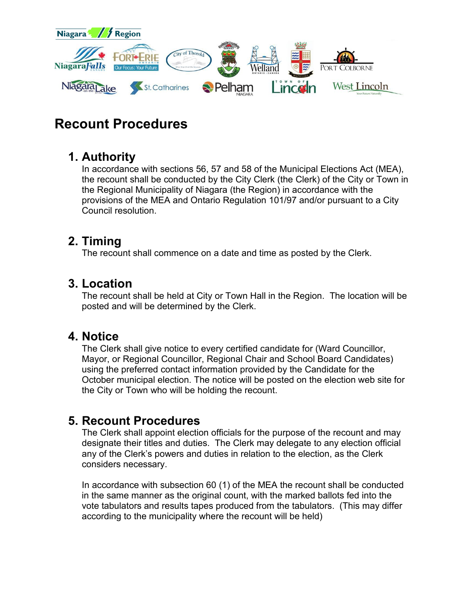

# **Recount Procedures**

# **1. Authority**

In accordance with sections 56, 57 and 58 of the Municipal Elections Act (MEA), the recount shall be conducted by the City Clerk (the Clerk) of the City or Town in the Regional Municipality of Niagara (the Region) in accordance with the provisions of the MEA and Ontario Regulation 101/97 and/or pursuant to a City Council resolution.

# **2. Timing**

The recount shall commence on a date and time as posted by the Clerk.

## **3. Location**

The recount shall be held at City or Town Hall in the Region. The location will be posted and will be determined by the Clerk.

#### **4. Notice**

The Clerk shall give notice to every certified candidate for (Ward Councillor, Mayor, or Regional Councillor, Regional Chair and School Board Candidates) using the preferred contact information provided by the Candidate for the October municipal election. The notice will be posted on the election web site for the City or Town who will be holding the recount.

# **5. Recount Procedures**

The Clerk shall appoint election officials for the purpose of the recount and may designate their titles and duties. The Clerk may delegate to any election official any of the Clerk's powers and duties in relation to the election, as the Clerk considers necessary.

In accordance with subsection 60 (1) of the MEA the recount shall be conducted in the same manner as the original count, with the marked ballots fed into the vote tabulators and results tapes produced from the tabulators. (This may differ according to the municipality where the recount will be held)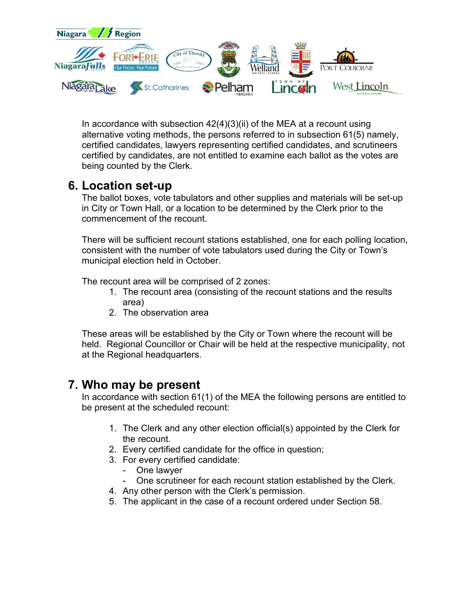

In accordance with subsection  $42(4)(3)(ii)$  of the MEA at a recount using alternative voting methods, the persons referred to in subsection 61(5) namely, certified candidates, lawyers representing certified candidates, and scrutineers certified by candidates, are not entitled to examine each ballot as the votes are being counted by the Clerk.

## **6. Location set-up**

The ballot boxes, vote tabulators and other supplies and materials will be set-up in City or Town Hall, or a location to be determined by the Clerk prior to the commencement of the recount.

There will be sufficient recount stations established, one for each polling location, consistent with the number of vote tabulators used during the City or Town's municipal election held in October.

The recount area will be comprised of 2 zones:

- 1. The recount area (consisting of the recount stations and the results area)
- 2. The observation area

These areas will be established by the City or Town where the recount will be held. Regional Councillor or Chair will be held at the respective municipality, not at the Regional headquarters.

#### **7. Who may be present**

In accordance with section 61(1) of the MEA the following persons are entitled to be present at the scheduled recount:

- 1. The Clerk and any other election official(s) appointed by the Clerk for the recount.
- 2. Every certified candidate for the office in question;
- 3. For every certified candidate:
	- One lawyer
	- One scrutineer for each recount station established by the Clerk.
- 4. Any other person with the Clerk's permission.
- 5. The applicant in the case of a recount ordered under Section 58.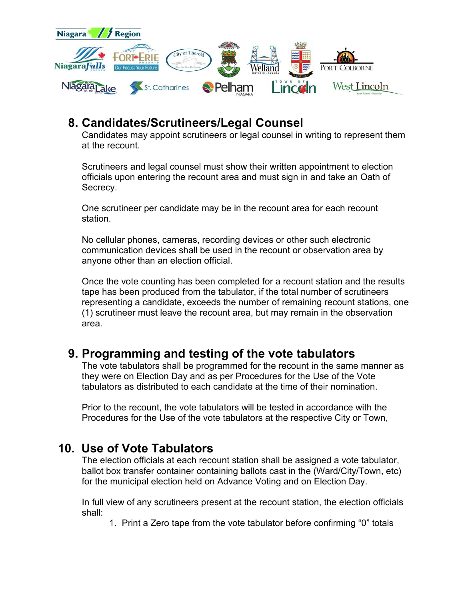

# **8. Candidates/Scrutineers/Legal Counsel**

Candidates may appoint scrutineers or legal counsel in writing to represent them at the recount.

Scrutineers and legal counsel must show their written appointment to election officials upon entering the recount area and must sign in and take an Oath of Secrecy.

One scrutineer per candidate may be in the recount area for each recount station.

No cellular phones, cameras, recording devices or other such electronic communication devices shall be used in the recount or observation area by anyone other than an election official.

Once the vote counting has been completed for a recount station and the results tape has been produced from the tabulator, if the total number of scrutineers representing a candidate, exceeds the number of remaining recount stations, one (1) scrutineer must leave the recount area, but may remain in the observation area.

# **9. Programming and testing of the vote tabulators**

The vote tabulators shall be programmed for the recount in the same manner as they were on Election Day and as per Procedures for the Use of the Vote tabulators as distributed to each candidate at the time of their nomination.

Prior to the recount, the vote tabulators will be tested in accordance with the Procedures for the Use of the vote tabulators at the respective City or Town,

# **10. Use of Vote Tabulators**

The election officials at each recount station shall be assigned a vote tabulator, ballot box transfer container containing ballots cast in the (Ward/City/Town, etc) for the municipal election held on Advance Voting and on Election Day.

In full view of any scrutineers present at the recount station, the election officials shall:

1. Print a Zero tape from the vote tabulator before confirming "0" totals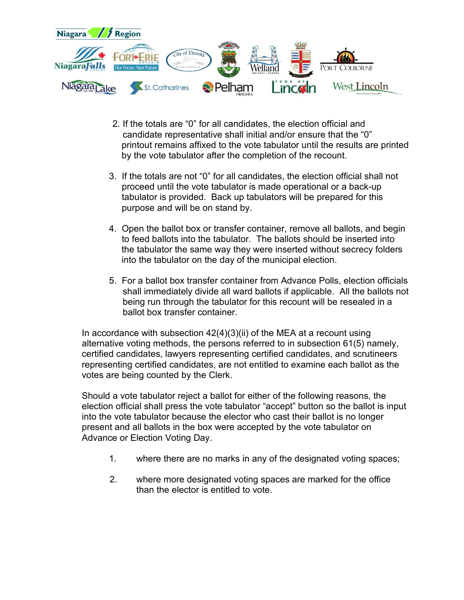

- 2. If the totals are "0" for all candidates, the election official and candidate representative shall initial and/or ensure that the "0" printout remains affixed to the vote tabulator until the results are printed by the vote tabulator after the completion of the recount.
- 3. If the totals are not "0" for all candidates, the election official shall not proceed until the vote tabulator is made operational or a back-up tabulator is provided. Back up tabulators will be prepared for this purpose and will be on stand by.
- 4. Open the ballot box or transfer container, remove all ballots, and begin to feed ballots into the tabulator. The ballots should be inserted into the tabulator the same way they were inserted without secrecy folders into the tabulator on the day of the municipal election.
- 5. For a ballot box transfer container from Advance Polls, election officials shall immediately divide all ward ballots if applicable. All the ballots not being run through the tabulator for this recount will be resealed in a ballot box transfer container.

In accordance with subsection  $42(4)(3)(ii)$  of the MEA at a recount using alternative voting methods, the persons referred to in subsection 61(5) namely, certified candidates, lawyers representing certified candidates, and scrutineers representing certified candidates, are not entitled to examine each ballot as the votes are being counted by the Clerk.

Should a vote tabulator reject a ballot for either of the following reasons, the election official shall press the vote tabulator "accept" button so the ballot is input into the vote tabulator because the elector who cast their ballot is no longer present and all ballots in the box were accepted by the vote tabulator on Advance or Election Voting Day.

- 1. where there are no marks in any of the designated voting spaces;
- 2. where more designated voting spaces are marked for the office than the elector is entitled to vote.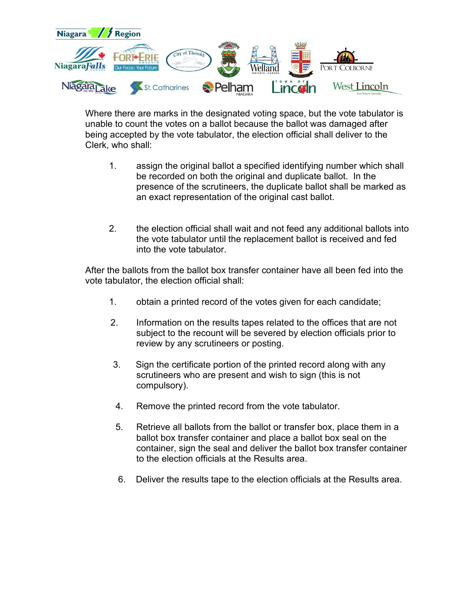

Where there are marks in the designated voting space, but the vote tabulator is unable to count the votes on a ballot because the ballot was damaged after being accepted by the vote tabulator, the election official shall deliver to the Clerk, who shall:

- 1. assign the original ballot a specified identifying number which shall be recorded on both the original and duplicate ballot. In the presence of the scrutineers, the duplicate ballot shall be marked as an exact representation of the original cast ballot.
- 2. the election official shall wait and not feed any additional ballots into the vote tabulator until the replacement ballot is received and fed into the vote tabulator.

After the ballots from the ballot box transfer container have all been fed into the vote tabulator, the election official shall:

- 1. obtain a printed record of the votes given for each candidate;
- 2. Information on the results tapes related to the offices that are not subject to the recount will be severed by election officials prior to review by any scrutineers or posting.
- 3. Sign the certificate portion of the printed record along with any scrutineers who are present and wish to sign (this is not compulsory).
- 4. Remove the printed record from the vote tabulator.
- 5. Retrieve all ballots from the ballot or transfer box, place them in a ballot box transfer container and place a ballot box seal on the container, sign the seal and deliver the ballot box transfer container to the election officials at the Results area.
- 6. Deliver the results tape to the election officials at the Results area.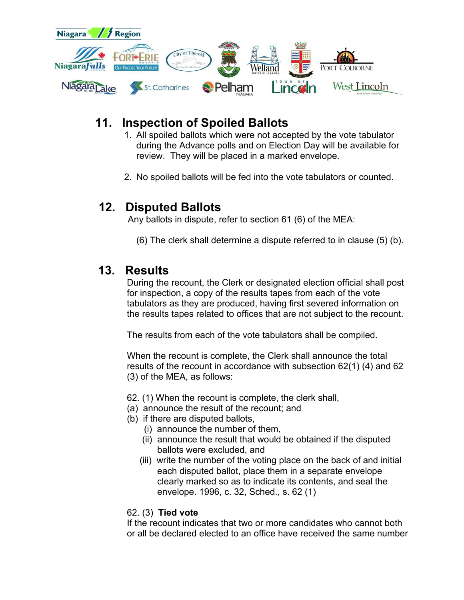

# **11. Inspection of Spoiled Ballots**

- 1. All spoiled ballots which were not accepted by the vote tabulator during the Advance polls and on Election Day will be available for review. They will be placed in a marked envelope.
- 2. No spoiled ballots will be fed into the vote tabulators or counted.

#### **12. Disputed Ballots**

Any ballots in dispute, refer to section 61 (6) of the MEA:

(6) The clerk shall determine a dispute referred to in clause (5) (b).

#### **13. Results**

During the recount, the Clerk or designated election official shall post for inspection, a copy of the results tapes from each of the vote tabulators as they are produced, having first severed information on the results tapes related to offices that are not subject to the recount.

The results from each of the vote tabulators shall be compiled.

When the recount is complete, the Clerk shall announce the total results of the recount in accordance with subsection 62(1) (4) and 62 (3) of the MEA, as follows:

- 62. (1) When the recount is complete, the clerk shall,
- (a) announce the result of the recount; and
- (b) if there are disputed ballots,
	- (i) announce the number of them,
	- (ii) announce the result that would be obtained if the disputed ballots were excluded, and
	- (iii) write the number of the voting place on the back of and initial each disputed ballot, place them in a separate envelope clearly marked so as to indicate its contents, and seal the envelope. 1996, c. 32, Sched., s. 62 (1)

#### 62. (3) **Tied vote**

If the recount indicates that two or more candidates who cannot both or all be declared elected to an office have received the same number